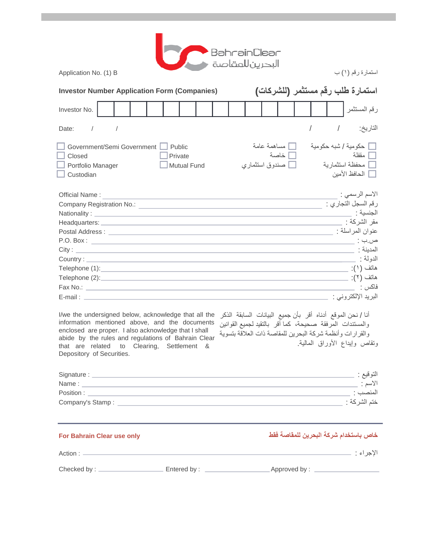| BahrainClear<br>البحرينللمقاصة ●<br>استمارة رقم (١) ب<br>Application No. (1) B                                                                                                                                                                                                                                  |                                                                                                                                                                                                      |  |  |  |  |  |  |
|-----------------------------------------------------------------------------------------------------------------------------------------------------------------------------------------------------------------------------------------------------------------------------------------------------------------|------------------------------------------------------------------------------------------------------------------------------------------------------------------------------------------------------|--|--|--|--|--|--|
| استمارة طلب رقم مستثمر (للشركات)<br><b>Investor Number Application Form (Companies)</b>                                                                                                                                                                                                                         |                                                                                                                                                                                                      |  |  |  |  |  |  |
| Investor No.                                                                                                                                                                                                                                                                                                    | رقم المستثمر                                                                                                                                                                                         |  |  |  |  |  |  |
| Date: $/$<br>$\sqrt{2}$                                                                                                                                                                                                                                                                                         | التاريخ: /                                                                                                                                                                                           |  |  |  |  |  |  |
| Government/Semi Government   Public<br>Private<br>Closed<br>Portfolio Manager<br><b>Mutual Fund</b><br>Custodian                                                                                                                                                                                                | مساهمة عامة<br>□ حكومية / شبه حكومية<br>أخاصة<br>ا مقفلة<br>__<br>___ محفظة استثمارية<br>صندوق استثماري $\Box$<br>■ الحافظ الأمين                                                                    |  |  |  |  |  |  |
| Official Name:<br><u> 1980 - Johann Barn, mars an t-Amerikaansk politiker (* 1908)</u><br>I/we the undersigned below, acknowledge that all the<br>information mentioned above, and the documents<br>enclosed are proper. I also acknowledge that I shall<br>abide by the rules and regulations of Bahrain Clear | الاسم الرسمي :<br>أنا / نحن الموقع أدناه أقر بأن جميع البيانات السابقة الذكر<br>والمستندات المرفقة صحيحة، كما أقر بالتقيد لجميع القوانين<br>والقرارات وأنظمة شركة البحرين للمقاصة ذات العلاقة بتسوية |  |  |  |  |  |  |
| that are related to Clearing, Settlement &<br>Depository of Securities.                                                                                                                                                                                                                                         | ونقاص وإيداع الأوراق المالية                                                                                                                                                                         |  |  |  |  |  |  |
|                                                                                                                                                                                                                                                                                                                 |                                                                                                                                                                                                      |  |  |  |  |  |  |
| <b>For Bahrain Clear use only</b>                                                                                                                                                                                                                                                                               | خاص باستخدام شركة البحرين للمقاصة فقط                                                                                                                                                                |  |  |  |  |  |  |

الإجراء : : Action Checked by : Entered by : Approved by :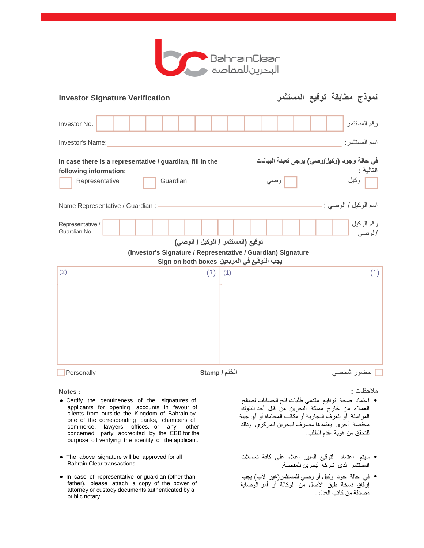

| <b>Investor Signature Verification</b>                    |          |                                            |                                                              | نموذج مطابقة توقيع المستثمر                 |
|-----------------------------------------------------------|----------|--------------------------------------------|--------------------------------------------------------------|---------------------------------------------|
| Investor No.                                              |          |                                            |                                                              | رقم المستثمر                                |
| Investor's Name:                                          |          |                                            |                                                              | اسم المستثمر:                               |
| In case there is a representative / guardian, fill in the |          |                                            |                                                              | في حالة وجود (وكيل/وصي) يرجى تعبئة البيانات |
| following information:                                    |          |                                            |                                                              | التالية :                                   |
| Representative                                            | Guardian |                                            | وصىي                                                         | م وكيل <mark>.</mark>                       |
| Name Representative / Guardian : -                        |          |                                            |                                                              | اسم الوكيل / الوصبي : -                     |
| Representative /<br>Guardian No.                          |          |                                            |                                                              | رقم الوكيل<br>/الوصبي                       |
|                                                           |          | توقيع (المستثمر / الوكيل / الوصى)          |                                                              |                                             |
|                                                           |          |                                            | (Investor's Signature / Representative / Guardian) Signature |                                             |
|                                                           |          | يجب التوقيع في المربعين Sign on both boxes |                                                              |                                             |
| (2)                                                       |          | (1)<br>(1)                                 |                                                              | (1)                                         |
| Personally                                                |          | الختم / Stamp                              |                                                              | حضور شخصي                                   |

- Certify the genuineness of the signatures of applicants for opening accounts in favour of clients from outside the Kingdom of Bahrain by one of the corresponding banks, chambers of commerce, lawyers offices, or any other concerned party accredited by the CBB for the purpose o f verifying the identity o f the applicant.
- The above signature will be approved for all Bahrain Clear transactions.
- In case of representative or guardian (other than father), please attach a copy of the power of attorney or custody documents authenticated by a public notary.

**ملاحظات : : Notes**

- اعتماد صحة تواقیع مقدمي طلبات فتح الحسابات لصالح العملاء من خارج مملكة البحرین من قبل أحد البنوك المراسلة أو الغرف التجاریة أو مكاتب المحاماة أو أي جھة مختصة أخرى یعتمدھا مصرف البحرین المركزي وذلك للتحقق من ھویة مقدم الطلب. ●
- سیتم اعتماد التوقیع المبین أعلاه على كافة تعاملات المستثمر لدى شركة البحرین للمقاصة.
- في حالة جود وكیل أو وصي للمستثمر(غیر الأب) یجب إرفاق نسخة طبق الأصل من الوكالة أو أمر الوصایة مصدقة من كاتب العدل . ●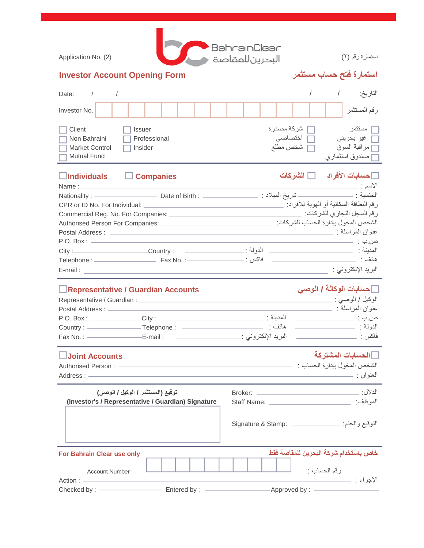| Application No. (2)                                                   |  |                          |              |  |  | BahrainClear<br>البحرينللمقاصة |                                   |  |  | استمارة رقم (٢)                                                                 |          |
|-----------------------------------------------------------------------|--|--------------------------|--------------|--|--|--------------------------------|-----------------------------------|--|--|---------------------------------------------------------------------------------|----------|
| <b>Investor Account Opening Form</b>                                  |  |                          |              |  |  |                                |                                   |  |  | استمارة فتح حساب مستثمر                                                         |          |
| Date:                                                                 |  |                          |              |  |  |                                |                                   |  |  |                                                                                 | التاريخ: |
| Investor No.                                                          |  |                          |              |  |  |                                |                                   |  |  | رقم المستثمر                                                                    |          |
| Client<br>Non Bahraini<br><b>Market Control</b><br><b>Mutual Fund</b> |  | <b>Issuer</b><br>Insider | Professional |  |  |                                | شركة مصدرة<br>اختصاصي<br>شخص مطلع |  |  | مستثمر<br>__ غير بحرين <i>ي</i><br>[ مراقبة السوق<br>__ صندوق استثما <i>ر ي</i> | H        |

## **حسابات الأفراد الشركات Companies Individuals**  الاسم : : Name Nationality : Date of Birth : : المیلاد تاریخ : الجنسیة رقم البطاقة السكانیة أو الھویة للأفراد: :Individual For .No ID or CPR Commercial Reg. No. For Companies: :للشركات التجاري السجل رقم الشخص المخول بإدارة الحساب للشركات: :Companies For Person Authorised عنوان المراسلة : : Address Postal P.O. Box : : ب.ص المدینة : الدولة : : Country : City Telephone : Fax No. : : فاكس : ھاتف البرید الإلكتروني : : mail-E

### **حسابات الوكالة / الوصي Accounts Guardian / Representative**

| Representative / Guardian : _ |             |                      | الوكيل / الوصىي : |
|-------------------------------|-------------|----------------------|-------------------|
| Postal Address : -            |             |                      | عنوان المراسلة :  |
| P.O. Box:                     | _Citv:      | المدبنة :            | ص.ب :             |
| Country : $-$                 | Telephone:  | هاتف :               | الدولة :          |
| Fax No.: $-$                  | ·E-mail : · | البريد الإلكتروني :_ | فاكس              |
|                               |             |                      |                   |

# **الحسابات المشتركة Accounts Joint**

| Authorised Person: | الشخص المخول بإدار ة الحساب : |
|--------------------|-------------------------------|
| Address:           | العذه ان                      |

| توقيع (المستثمر / الوكيل / الوصى)                  |                  | الدلال:                |                                            |  |  |
|----------------------------------------------------|------------------|------------------------|--------------------------------------------|--|--|
| (Investor's / Representative / Guardian) Signature |                  | الموظف:<br>Staff Name: |                                            |  |  |
|                                                    |                  |                        |                                            |  |  |
| <b>For Bahrain Clear use only</b>                  |                  |                        | خاص باستخدام شركة البحرين للمقاصة فقط      |  |  |
| Account Number:                                    |                  |                        | رقم الحساب :                               |  |  |
|                                                    |                  |                        | الإجراء :                                  |  |  |
| Checked by : —————                                 | Entered by: ———— |                        | $-A$ pproved by : $\overline{\phantom{a}}$ |  |  |